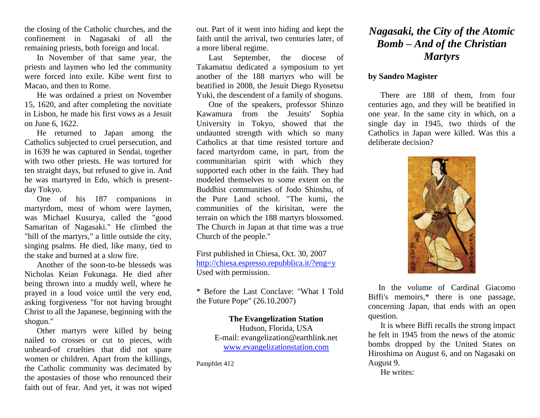the closing of the Catholic churches, and the confinement in Nagasaki of all the remaining priests, both foreign and local.

In November of that same year, the priests and laymen who led the community were forced into exile. Kibe went first to Macao, and then to Rome.

He was ordained a priest on November 15, 1620, and after completing the novitiate in Lisbon, he made his first vows as a Jesuit on June 6, 1622.

He returned to Japan among the Catholics subjected to cruel persecution, and in 1639 he was captured in Sendai, together with two other priests. He was tortured for ten straight days, but refused to give in. And he was martyred in Edo, which is presentday Tokyo.

One of his 187 companions in martyrdom, most of whom were laymen, was Michael Kusurya, called the "good Samaritan of Nagasaki." He climbed the "hill of the martyrs," a little outside the city, singing psalms. He died, like many, tied to the stake and burned at a slow fire.

Another of the soon-to-be blesseds was Nicholas Keian Fukunaga. He died after being thrown into a muddy well, where he prayed in a loud voice until the very end, asking forgiveness "for not having brought Christ to all the Japanese, beginning with the shogun."

Other martyrs were killed by being nailed to crosses or cut to pieces, with unheard-of cruelties that did not spare women or children. Apart from the killings, the Catholic community was decimated by the apostasies of those who renounced their faith out of fear. And yet, it was not wiped out. Part of it went into hiding and kept the faith until the arrival, two centuries later, of a more liberal regime.

Last September, the diocese of Takamatsu dedicated a symposium to yet another of the 188 martyrs who will be beatified in 2008, the Jesuit Diego Ryosetsu Yuki, the descendent of a family of shoguns.

One of the speakers, professor Shinzo Kawamura from the Jesuits' Sophia University in Tokyo, showed that the undaunted strength with which so many Catholics at that time resisted torture and faced martyrdom came, in part, from the communitarian spirit with which they supported each other in the faith. They had modeled themselves to some extent on the Buddhist communities of Jodo Shinshu, of the Pure Land school. "The kumi, the communities of the kirisitan, were the terrain on which the 188 martyrs blossomed. The Church in Japan at that time was a true Church of the people."

First published in Chiesa, Oct. 30, 2007 <http://chiesa.espresso.repubblica.it/?eng=y> Used with permission.

\* [Before the Last Conclave: "What I Told](http://chiesa.espresso.repubblica.it/articolo/173182?eng=y)  [the Future Pope"](http://chiesa.espresso.repubblica.it/articolo/173182?eng=y) (26.10.2007)

> **The Evangelization Station**  Hudson, Florida, USA E-mail: evangelization@earthlink.net [www.evangelizationstation.com](http://www.pjpiisoe.org/)

Pamphlet 412

## *Nagasaki, the City of the Atomic Bomb – And of the Christian Martyrs*

## **by Sandro Magister**

There are 188 of them, from four centuries ago, and they will be beatified in one year. In the same city in which, on a single day in 1945, two thirds of the Catholics in Japan were killed. Was this a deliberate decision?



 In the volume of Cardinal Giacomo Biffi's memoirs,\* there is one passage, concerning Japan, that ends with an open question.

It is where Biffi recalls the strong impact he felt in 1945 from the news of the atomic bombs dropped by the United States on Hiroshima on August 6, and on Nagasaki on August 9.

He writes: